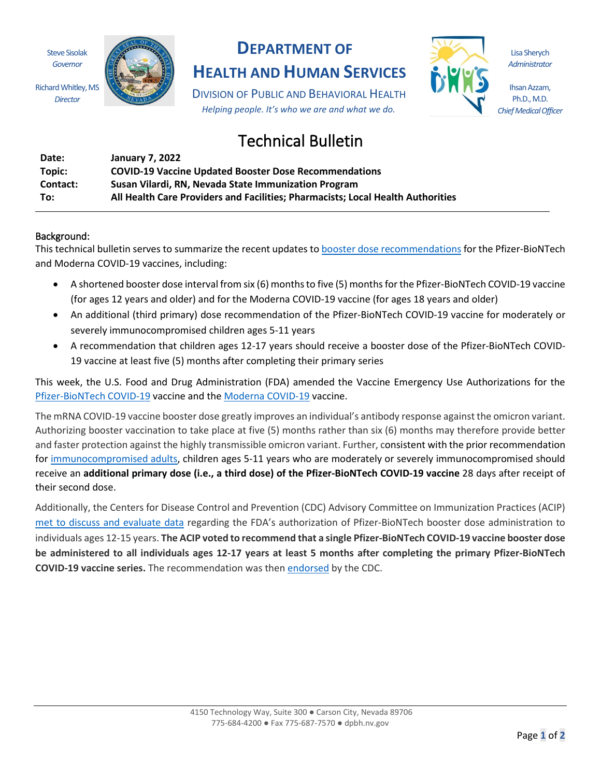Steve Sisolak *Governor*

Richard Whitley, MS *Director*



## **DEPARTMENT OF**

**HEALTH AND HUMAN SERVICES**

DIVISION OF PUBLIC AND BEHAVIORAL HEALTH *Helping people. It's who we are and what we do.*



Lisa Sherych *Administrator*

Ihsan Azzam, Ph.D., M.D. *Chief Medical Officer*

## Technical Bulletin

| Date:    | January 7, 2022                                                                 |
|----------|---------------------------------------------------------------------------------|
| Topic:   | <b>COVID-19 Vaccine Updated Booster Dose Recommendations</b>                    |
| Contact: | Susan Vilardi, RN, Nevada State Immunization Program                            |
| To:      | All Health Care Providers and Facilities; Pharmacists; Local Health Authorities |

## Background:

This technical bulletin serves to summarize the recent updates t[o booster dose recommendations](https://www.cdc.gov/coronavirus/2019-ncov/vaccines/booster-shot.html) for the Pfizer-BioNTech and Moderna COVID-19 vaccines, including:

- A shortened booster dose interval from six (6) months to five (5) months for the Pfizer-BioNTech COVID-19 vaccine (for ages 12 years and older) and for the Moderna COVID-19 vaccine (for ages 18 years and older)
- An additional (third primary) dose recommendation of the Pfizer-BioNTech COVID-19 vaccine for moderately or severely immunocompromised children ages 5-11 years
- A recommendation that children ages 12-17 years should receive a booster dose of the Pfizer-BioNTech COVID-19 vaccine at least five (5) months after completing their primary series

This week, the U.S. Food and Drug Administration (FDA) amended the Vaccine Emergency Use Authorizations for the [Pfizer-BioNTech COVID-19](https://www.fda.gov/news-events/press-announcements/coronavirus-covid-19-update-fda-takes-multiple-actions-expand-use-pfizer-biontech-covid-19-vaccine) vaccine and the [Moderna COVID-19](https://www.fda.gov/news-events/press-announcements/coronavirus-covid-19-update-fda-shortens-interval-booster-dose-moderna-covid-19-vaccine-five-months) vaccine.

The mRNA COVID-19 vaccine booster dose greatly improves an individual's antibody response against the omicron variant. Authorizing booster vaccination to take place at five (5) months rather than six (6) months may therefore provide better and faster protection against the highly transmissible omicron variant. Further, consistent with the prior recommendation for [immunocompromised adults,](https://www.cdc.gov/coronavirus/2019-ncov/vaccines/recommendations/immuno.html) children ages 5-11 years who are moderately or severely immunocompromised should receive an **additional primary dose (i.e., a third dose) of the Pfizer-BioNTech COVID-19 vaccine** 28 days after receipt of their second dose.

Additionally, the Centers for Disease Control and Prevention (CDC) Advisory Committee on Immunization Practices (ACIP) [met to discuss and evaluate data](https://www.cdc.gov/vaccines/acip/meetings/slides-2022-01-05.html) regarding the FDA's authorization of Pfizer-BioNTech booster dose administration to individuals ages 12-15 years. **The ACIP voted to recommend that a single Pfizer-BioNTech COVID-19 vaccine booster dose be administered to all individuals ages 12-17 years at least 5 months after completing the primary Pfizer-BioNTech COVID-19 vaccine series.** The recommendation was then [endorsed](https://www.cdc.gov/media/releases/2022/s0105-Booster-Shot.html) by the CDC.